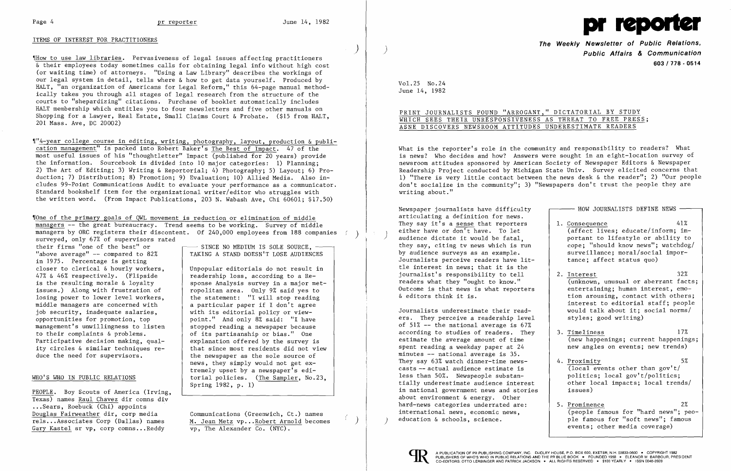## ITEMS OF INTEREST FOR PRACTITIONERS

'IHow to use law libraries. Pervasiveness of legal issues affecting practitioners & their employees today sometimes calls for obtaining legal info without high cost (or waiting time) of attorneys. "Using a Law Library" describes the workings of our legal system in detail, tells where & how to get data yourself. Produced by HALT, "an organization of Americans for Legal Reform," this 64-page manual methodically takes you through all stages of legal research from the structure of the courts to "shepardizing" citations. Purchase of booklet automatically includes HALT membership which entitles you to four newsletters and five other manuals on Shopping for a Lawyer, Real Estate, Small Claims Court & Probate. (\$15 from HALT, 201 Mass. Ave, DC 20002)

,r"4-year college course in editing, writing, photography, layout, production & publication management" is packed into Robert Baker's The Best of Impact. 47 of the most useful issues of his "thought1etter" Impact (published for 20 years) provide the information. Sourcebook is divided into 10 major categories: 1) Planning; 2) The Art of Editing; 3) Writing & Reportorial; 4) Photography; 5) Layout; 6) Production; 7) Distribution; 8) Promotion; 9) Evaluation; 10) Allied Media. Also includes 99-Point Communications Audit to evaluate your performance as a communicator. Standard bookshelf item for the organizational writer/editor who struggles with the written word. (From Impact Publications, 203 N. Wabash Ave, Chi 60601; \$17.50)

Vone of the primary goals of QWL movement is reduction or elimination of middle managers -- the great bureaucracy. Trend seems to be working. Survey of middle managers by ORC registers their discontent. Of 240,000 employees from 188 companies surveyed, only 67% of supervisors rated<br>their firms "one of the best" or

their firms "one of the best" or  $\qquad \qquad \qquad \qquad \qquad$  SINCE NO MEDIUM IS SOLE SOURCE, "above average"  $-$  compared to 82% in 1975. Percentage is getting<br>closer to clerical & hourly workers. is the resulting morale & loyalty issues.) Along with frustration of<br>losing power to lower level workers. losing power to lower level workers,<br>middle managers are concerned with a particular paper if I don't agree job security, inadequate salaries, opportunities for promotion, top management's unwillingness to listen to their complaints & problems. Participative decision making, qual Participative decision making, qual-<br>ity circles  $\&$  similar techniques re-<br>that since most residents did not vious

closer to clerical & hourly workers, <br>47% & 46% respectively. (Flipside  $\begin{array}{|l|l|}\n\hline\n47% & 46% & \text{respective by a Re-} \\
\hline\n\end{array}$ readership loss, according to a Response Analysis survey in a major met-<br>ropolitan area. Only 9% said yes to a particular paper if I don't agree with its editorial policy or view point." And only 8% said: "I have stopped reading a newspaper because of its partisanship or bias." One ity circles  $\&$  similar techniques re-<br>duce the need for supervisors.<br>the newspaper as the sole source of the newspaper as the sole source of news, they simply would not get extremely upset by a newspaper's edi-WHO'S WHO IN PUBLIC RELATIONS | torial policies. (The Sampler, No.23, Spring 1982, p. 1)

PEOPLE. Boy Scouts of America (Irving, Texas) names Raul Chavez dir comns div ...Sears, Roebuck (Chi) appoints Douglas Fairweather dir, corp media Communications (Greenwich, Ct.) names Gary Kastel sr vp, corp comns...Reddy

rels...Associates Corp (Dallas) names  $M.$  Jean Metz vp...Robert Arnold becomes Gary Kastel sr vp, corp comns...Reddy  $\overline{vp}$ , The Alexander Co. (NYC).

 $\left( \right)$ 

TAKING A STAND DOESN'T LOSE AUDIENCES

)

I / )



**The Weekly Newsletter of Public Relations,** ) **Public Affairs & Communication 603/778·0514** 

Vol. 25 No. 24 June 14, 1982

# PRINT JOURNALISTS FOUND "ARROGANT," DICTATORIAL BY STUDY WHICH SEES THEIR UNRESPONSIVENESS AS THREAT TO FREE PRESS; ASNE DISCOVERS NEWSROOM ATTITUDES UNDERESTIMATE READERS

What is the reporter's role in the community and responsibility to readers? What is news? Who decides and how? Answers were sought in an eight-location survey of newsroom attitudes sponsored by American Society of Newspaper Editors & Newspaper Readership Project conducted by Michigan State Univ. Survey elicited concerns that 1) "There is very little contact between the news desk & the reader"; 2) "Our people don't socialize in the community"; 3) "Newspapers don't trust the people they are writing about."

Newspaper journalists have difficulty articulating a definition for news. They say it's a sense that reporters ) either have or don't have. To let audience dictate it would be fatal, they say, citing ty news which is run by audience surveys as an example. Journalists perceive readers have little interest in news; that it is the journalist's responsibility to tell readers what they "ought to know." Outcome is that news is what reporters  $\&$  editors think it is.

Journalists underestimate their readers. They perceive a readership level of 51% **-** the national average is 67% according to studies of readers. They estimate the average amount of time spent reading a weekday paper at 24 minutes  $-$  national average is 35. They say  $63\%$  watch dinner-time newscasts -- actual audience estimate is less than  $50\%$ . Newspeople substantially underestimate audience interest in national government news and stories about environment & energy. Other hard-news categories underrated are: international news, economic news. education  $\&$  schools, science.



| HOW JOURNALISTS DEFINE NEWS                                                                                                                                                                                                                   |
|-----------------------------------------------------------------------------------------------------------------------------------------------------------------------------------------------------------------------------------------------|
| 41%<br>1. Consequence<br>(affect lives; educate/inform; im-<br>portant to lifestyle or ability to<br>cope; "should know news"; watchdog/<br>surveillance; moral/social impor-<br>tance; affect status quo)                                    |
| 32%<br>2. Interest<br>(unknown, unusual or aberrant facts;<br>entertaining; human interest, emo-<br>tion arousing, contact with others;<br>interest to editorial staff; people<br>would talk about it; social norms/<br>styles; good writing) |
| 17%<br>3. Timeliness<br>(new happenings; current happenings;<br>new angles on events; new trends)                                                                                                                                             |
| 5%<br>4. Proximity<br>(local events other than gov't/<br>politics; local gov't/politics;<br>other local impacts; local trends/<br>issues)                                                                                                     |
| 2%<br>5. Prominence<br>(people famous for "hard news"; peo-<br>ple famous for "soft news"; famous<br>events; other media coverage)                                                                                                            |